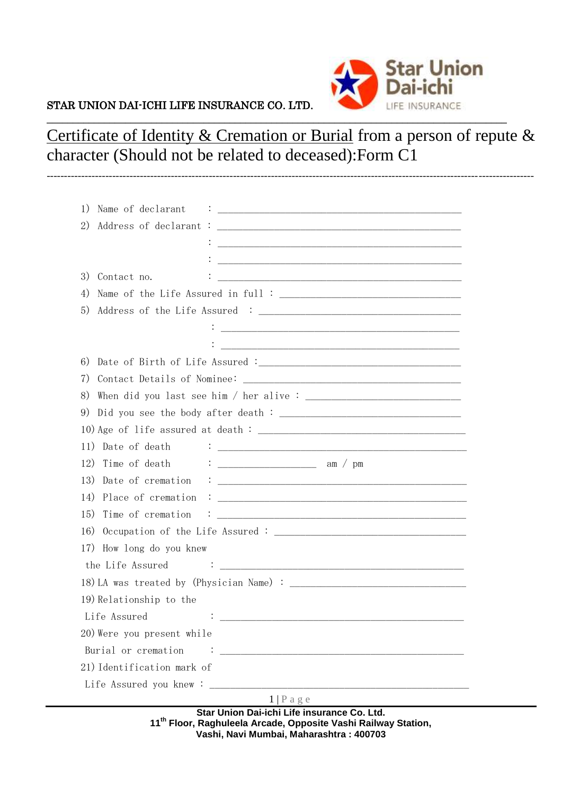

## STAR UNION DAI-ICHI LIFE INSURANCE CO. LTD.

Certificate of Identity & Cremation or Burial from a person of repute & character (Should not be related to deceased):Form C1

---------------------------------------------------------------------------------------------------------------------------------------------

| 1)                                                                                                                                                                                                                                                                                                                                                                                                                                         |
|--------------------------------------------------------------------------------------------------------------------------------------------------------------------------------------------------------------------------------------------------------------------------------------------------------------------------------------------------------------------------------------------------------------------------------------------|
| 2)                                                                                                                                                                                                                                                                                                                                                                                                                                         |
| <u> 1989 - Johann Harry Harry Harry Harry Harry Harry Harry Harry Harry Harry Harry Harry Harry Harry Harry Harry</u>                                                                                                                                                                                                                                                                                                                      |
|                                                                                                                                                                                                                                                                                                                                                                                                                                            |
| 3)<br>Contact no.                                                                                                                                                                                                                                                                                                                                                                                                                          |
| 4)                                                                                                                                                                                                                                                                                                                                                                                                                                         |
|                                                                                                                                                                                                                                                                                                                                                                                                                                            |
|                                                                                                                                                                                                                                                                                                                                                                                                                                            |
|                                                                                                                                                                                                                                                                                                                                                                                                                                            |
| 6)                                                                                                                                                                                                                                                                                                                                                                                                                                         |
| 7)                                                                                                                                                                                                                                                                                                                                                                                                                                         |
| 8)<br>When did you last see him / her alive : $\frac{1}{\sqrt{1-\frac{1}{2}}}\$                                                                                                                                                                                                                                                                                                                                                            |
| 9) Did you see the body after death : $\frac{1}{1}$ = 0.000 m                                                                                                                                                                                                                                                                                                                                                                              |
|                                                                                                                                                                                                                                                                                                                                                                                                                                            |
|                                                                                                                                                                                                                                                                                                                                                                                                                                            |
| 12)                                                                                                                                                                                                                                                                                                                                                                                                                                        |
| 13)<br>Date of cremation : $\frac{1}{\frac{1}{2} \cdot \frac{1}{2} \cdot \frac{1}{2} \cdot \frac{1}{2} \cdot \frac{1}{2} \cdot \frac{1}{2} \cdot \frac{1}{2} \cdot \frac{1}{2} \cdot \frac{1}{2} \cdot \frac{1}{2} \cdot \frac{1}{2} \cdot \frac{1}{2} \cdot \frac{1}{2} \cdot \frac{1}{2} \cdot \frac{1}{2} \cdot \frac{1}{2} \cdot \frac{1}{2} \cdot \frac{1}{2} \cdot \frac{1}{2} \cdot \frac{1}{2} \cdot \frac{1}{2} \cdot \frac{1}{2$ |
| 14)                                                                                                                                                                                                                                                                                                                                                                                                                                        |
| 15)<br>Time of cremation : $\frac{1}{2}$ Time of cremation : $\frac{1}{2}$                                                                                                                                                                                                                                                                                                                                                                 |
| 16)                                                                                                                                                                                                                                                                                                                                                                                                                                        |
| 17) How long do you knew                                                                                                                                                                                                                                                                                                                                                                                                                   |
|                                                                                                                                                                                                                                                                                                                                                                                                                                            |
|                                                                                                                                                                                                                                                                                                                                                                                                                                            |
| 19) Relationship to the                                                                                                                                                                                                                                                                                                                                                                                                                    |
| Life Assured<br><u> 2000 - Jan James James James James James James James James James James James James James James James James J</u>                                                                                                                                                                                                                                                                                                       |
| 20) Were you present while                                                                                                                                                                                                                                                                                                                                                                                                                 |
| Burial or cremation                                                                                                                                                                                                                                                                                                                                                                                                                        |
| 21) Identification mark of                                                                                                                                                                                                                                                                                                                                                                                                                 |
|                                                                                                                                                                                                                                                                                                                                                                                                                                            |
| $1 \, \, P \text{ a } g \text{ e }$<br>Stor Union Doi johi Life incurance Co. Ltd.                                                                                                                                                                                                                                                                                                                                                         |

**Star Union Dai-ichi Life insurance Co. Ltd. 11th Floor, Raghuleela Arcade, Opposite Vashi Railway Station, Vashi, Navi Mumbai, Maharashtra : 400703**